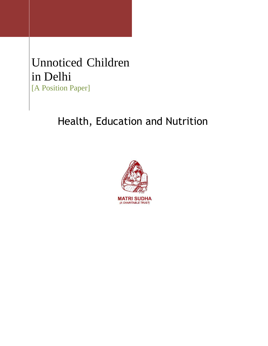# Unnoticed Children in Delhi [A Position Paper]

# Health, Education and Nutrition

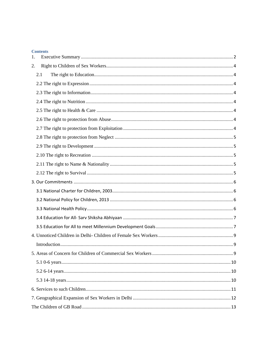| <b>Contents</b> |
|-----------------|
| $\mathbf{1}$ .  |
| 2.              |
| 2.1             |
|                 |
|                 |
|                 |
|                 |
|                 |
|                 |
|                 |
|                 |
|                 |
|                 |
|                 |
|                 |
|                 |
|                 |
|                 |
|                 |
|                 |
|                 |
| . 9             |
|                 |
|                 |
|                 |
|                 |
|                 |
|                 |
|                 |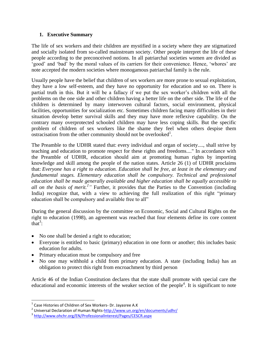## <span id="page-2-0"></span>**1. Executive Summary**

The life of sex workers and their children are mystified in a society where they are stigmatized and socially isolated from so-called mainstream society. Other people interpret the life of these people according to the preconceived notions. In all patriarchal societies women are divided as 'good' and 'bad' by the moral values of its carriers for their convenience. Hence, 'whores' are note accepted the modern societies where monogamous patriarchal family is the rule.

Usually people have the belief that children of sex workers are more prone to sexual exploitation, they have a low self-esteem, and they have no opportunity for education and so on. There is partial truth in this. But it will be a fallacy if we put the sex worker's children with all the problems on the one side and other children having a better life on the other side. The life of the children is determined by many interwoven cultural factors, social environment, physical facilities, opportunities for socialization etc. Sometimes children facing many difficulties in their situation develop better survival skills and they may have more reflexive capability. On the contrary many overprotected schooled children may have less coping skills. But the specific problem of children of sex workers like the shame they feel when others despise them  $\alpha$  ostracisation from the other community should not be overlooked<sup>1</sup>.

The Preamble to the UDHR stated that: every individual and organ of society...., shall strive by teaching and education to promote respect for these rights and freedoms...." In accordance with the Preamble of UDHR, education should aim at promoting human rights by importing knowledge and skill among the people of the nation states. Article 26 (1) of UDHR proclaims that: *Everyone has a right to education. Education shall be free, at least in the elementary and*  fundamental stages. Elementary education shall be compulsory. Technical and professional *education shall be made generally available and higher education shall be equally accessible to*  all on the basis of merit.<sup>2</sup>" Further, it provides that the Parties to the Convention (including India) recognize that, with a view to achieving the full realization of this right "primary education shall be compulsory and available free to all"

During the general discussion by the committee on Economic, Social and Cultural Rights on the right to education (1998), an agreement was reached that four elements define its core content that<sup>3</sup>:

- No one shall be denied a right to education;
- Everyone is entitled to basic (primary) education in one form or another; this includes basic education for adults.
- Primary education must be compulsory and free
- No one may withhold a child from primary education. A state (including India) has an obligation to protect this right from encroachment by third person

Article 46 of the Indian Constitution declares that the state shall promote with special care the educational and economic interests of the weaker section of the people<sup>4</sup>. It is significant to note

 1 Case Histories of Children of Sex Workers- Dr. Jayasree A.K

<sup>&</sup>lt;sup>2</sup> Universal Declaration of Human Rights[-http://www.un.org/en/documents/udhr/](http://www.un.org/en/documents/udhr/)

<sup>&</sup>lt;sup>3</sup> <http://www.ohchr.org/EN/ProfessionalInterest/Pages/CESCR.aspx>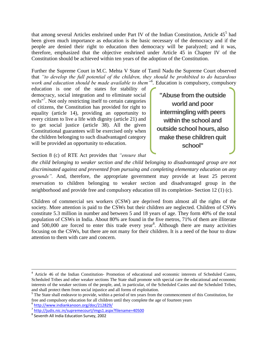that among several Articles enshrined under Part IV of the Indian Constitution, Article 45<sup>5</sup> had been given much importance as education is the basic necessary of the democracy and if the people are denied their right to education then democracy will be paralyzed; and it was, therefore, emphasized that the objective enshrined under Article 45 in Chapter IV of the Constitution should be achieved within ten years of the adoption of the Constitution.

Further the Supreme Court in M.C. Mehta V State of Tamil Nadu the Supreme Court observed that *"to develop the full potential of the children, they should be prohibited to do hazardous work and education should be made available to them"<sup>6</sup> .* Education is compulsory, compulsory

education is one of the states for stability of democracy, social integration and to eliminate social evils"<sup>7</sup>. Not only restricting itself to certain categories of citizens, the Constitution has provided for right to equality (article 14), providing an opportunity to every citizen to live a life with dignity (article 21) and to get social justice (article 38). All the given Constitutional guarantees will be exercised only when the children belonging to such disadvantaged category will be provided an opportunity to education.

**"Abuse from the outside world and poor intermingling with peers within the school and outside school hours, also make these children quit school"**

Section 8 (c) of RTE Act provides that *"ensure that* 

*the child belonging to weaker section and the child belonging to disadvantaged group are not discriminated against and prevented from pursuing and completing elementary education on any grounds".* And, therefore, the appropriate government may provide at least 25 percent reservation to children belonging to weaker section and disadvantaged group in the neighborhood and provide free and compulsory education till its completion- Section 12 (1) (c).

Children of commercial sex workers (CSW) are deprived from almost all the rights of the society. More attention is paid to the CSWs but their children are neglected. Children of CSWs constitute 5.3 million in number and between 5 and 18 years of age. They form 40% of the total population of CSWs in India. About 80% are found in the five metros, 71% of them are illiterate and  $500,000$  are forced to enter this trade every year<sup>8</sup>. Although there are many activities focusing on the CSWs, but there are not many for their children. It is a need of the hour to draw attention to them with care and concern.

<sup>&</sup>lt;sup>4</sup> Article 46 of the Indian Constitution- Promotion of educational and economic interests of Scheduled Castes, Scheduled Tribes and other weaker sections The State shall promote with special care the educational and economic interests of the weaker sections of the people, and, in particular, of the Scheduled Castes and the Scheduled Tribes, and shall protect them from social injustice and all forms of exploitation.

<sup>&</sup>lt;sup>5</sup> The State shall endeavor to provide, within a period of ten years from the commencement of this Constitution, for free and compulsory education for all children until they complete the age of fourteen years

<sup>6</sup> <http://www.indiankanoon.org/doc/212829/>

<sup>&</sup>lt;sup>7</sup> <http://judis.nic.in/supremecourt/imgs1.aspx?filename=40500>

<sup>8</sup> Seventh All India Education Survey, 2002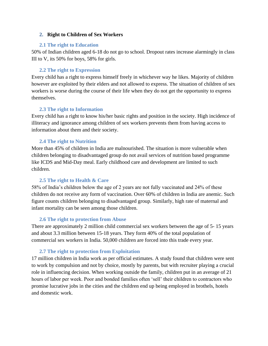## <span id="page-4-0"></span>**2. Right to Children of Sex Workers**

## <span id="page-4-1"></span>**2.1 The right to Education**

50% of Indian children aged 6-18 do not go to school. Dropout rates increase alarmingly in class III to V, its 50% for boys, 58% for girls.

## **2.2 The right to Expression**

<span id="page-4-2"></span>Every child has a right to express himself freely in whichever way he likes. Majority of children however are exploited by their elders and not allowed to express. The situation of children of sex workers is worse during the course of their life when they do not get the opportunity to express themselves.

## **2.3 The right to Information**

<span id="page-4-3"></span>Every child has a right to know his/her basic rights and position in the society. High incidence of illiteracy and ignorance among children of sex workers prevents them from having access to information about them and their society.

# **2.4 The right to Nutrition**

<span id="page-4-4"></span>More than 45% of children in India are malnourished. The situation is more vulnerable when children belonging to disadvantaged group do not avail services of nutrition based programme like ICDS and Mid-Day meal. Early childhood care and development are limited to such children.

# **2.5 The right to Health & Care**

<span id="page-4-5"></span>58% of India"s children below the age of 2 years are not fully vaccinated and 24% of these children do not receive any form of vaccination. Over 60% of children in India are anemic. Such figure counts children belonging to disadvantaged group. Similarly, high rate of maternal and infant mortality can be seen among those children.

### **2.6 The right to protection from Abuse**

<span id="page-4-6"></span>There are approximately 2 million child commercial sex workers between the age of 5- 15 years and about 3.3 million between 15-18 years. They form 40% of the total population of commercial sex workers in India. 50,000 children are forced into this trade every year.

# **2.7 The right to protection from Exploitation**

<span id="page-4-7"></span>17 million children in India work as per official estimates. A study found that children were sent to work by compulsion and not by choice, mostly by parents, but with recruiter playing a crucial role in influencing decision. When working outside the family, children put in an average of 21 hours of labor per week. Poor and bonded families often "sell" their children to contractors who promise lucrative jobs in the cities and the children end up being employed in brothels, hotels and domestic work.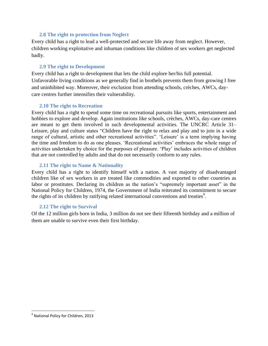## **2.8 The right to protection from Neglect**

<span id="page-5-0"></span>Every child has a right to lead a well-protected and secure life away from neglect. However, children working exploitative and inhuman conditions like children of sex workers get neglected badly.

## **2.9 The right to Development**

<span id="page-5-1"></span>Every child has a right to development that lets the child explore her/his full potential. Unfavorable living conditions as we generally find in brothels prevents them from growing I free and uninhibited way. Moreover, their exclusion from attending schools, crèches, AWCs, daycare centres further intensifies their vulnerability.

## **2.10 The right to Recreation**

<span id="page-5-2"></span>Every child has a right to spend some time on recreational pursuits like sports, entertainment and hobbies to explore and develop. Again institutions like schools, crèches, AWCs, day-care centres are meant to get them involved in such developmental activities. The UNCRC Article 31– Leisure, play and culture states "Children have the right to relax and play and to join in a wide range of cultural, artistic and other recreational activities". 'Leisure' is a term implying having the time and freedom to do as one pleases. 'Recreational activities' embraces the whole range of activities undertaken by choice for the purposes of pleasure. "Play" includes activities of children that are not controlled by adults and that do not necessarily conform to any rules.

## <span id="page-5-3"></span>**2.11 The right to Name & Nationality**

Every child has a right to identify himself with a nation. A vast majority of disadvantaged children like of sex workers in are treated like commodities and exported to other countries as labor or prostitutes. Declaring its children as the nation's "supremely important asset" in the National Policy for Children, 1974, the Government of India reiterated its commitment to secure the rights of its children by ratifying related international conventions and treaties<sup>9</sup>.

### <span id="page-5-4"></span>**2.12 The right to Survival**

Of the 12 million girls born in India, 3 million do not see their fifteenth birthday and a million of them are unable to survive even their first birthday.

<sup>&</sup>lt;sup>9</sup><br>National Policy for Children, 2013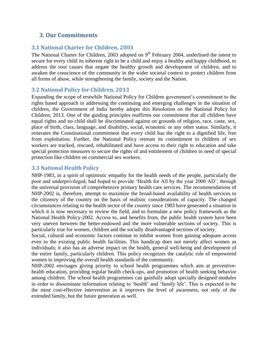# <span id="page-6-0"></span>**3. Our Commitments**

# <span id="page-6-1"></span>**3.1 National Charter for Children, 2003**

The National Charter for Children, 2003 adopted on  $9<sup>th</sup>$  February 2004, underlined the intent to secure for every child its inherent right to be a child and enjoy a healthy and happy childhood, to address the root causes that negate the healthy growth and development of children, and to awaken the conscience of the community in the wider societal context to protect children from all forms of abuse, while strengthening the family, society and the Nation.

# <span id="page-6-2"></span>**3.2 National Policy for Children, 2013**

Expanding the scope of erstwhile National Policy for Children government"s commitment to the rights based approach in addressing the continuing and emerging challenges in the situation of children, the Government of India hereby adopts this Resolution on the National Policy for Children, 2013. One of the guiding principles reaffirms our commitment that all children have equal rights and no child shall be discriminated against on grounds of religion, race, caste, sex, place of birth, class, language, and disability, social, economic or any other status. Similarly, it reiterates the Constitutional commitment that every child has the right to a dignified life, free from exploitation. Further, the National Policy retreats its commitment to children of sex workers are tracked, rescued, rehabilitated and have access to their right to education and take special protection measures to secure the rights of and entitlement of children in need of special protection like children on commercial sex workers.

# <span id="page-6-3"></span>**3.3 National Health Policy**

NHP-1983, in a spirit of optimistic empathy for the health needs of the people, particularly the poor and underprivileged, had hoped to provide "Health for All by the year 2000 AD", through the universal provision of comprehensive primary health care services. The recommendations of NHP-2002 is, therefore, attempt to maximize the broad-based availability of health services to the citizenry of the country on the basis of realistic considerations of capacity. The changed circumstances relating to the health sector of the country since 1983 have generated a situation in which it is now necessary to review the field, and to formulate a new policy framework as the National Health Policy-2002. Access to, and benefits from, the public health system have been very uneven between the better-endowed and the more vulnerable sections of society. This is particularly true for women, children and the socially disadvantaged sections of society.

Social, cultural and economic factors continue to inhibit women from gaining adequate access even to the existing public health facilities. This handicap does not merely affect women as individuals; it also has an adverse impact on the health, general well-being and development of the entire family, particularly children. This policy recognizes the catalytic role of empowered women in improving the overall health standards of the community.

NHP-2002 envisages giving priority to school health programmes which aim at preventivehealth education, providing regular health check-ups, and promotion of health seeking behavior among children. The school health programmes can gainfully adopt specially designed modules in order to disseminate information relating to 'health' and 'family life'. This is expected to be the most cost-effective intervention as it improves the level of awareness, not only of the extended family, but the future generation as well.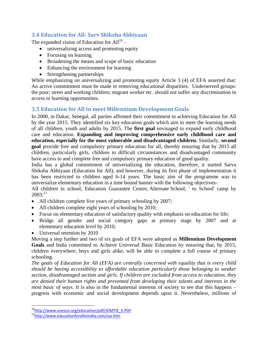# <span id="page-7-0"></span>**3.4 Education for All- Sarv Shiksha Abhiyaan**

The expanded vision of Education for  $All^{10}$  –

- universalizing access and promoting equity
- Focusing on learning
- Broadening the means and scope of basic education
- Enhancing the environment for learning
- Strengthening partnerships

While emphasizing on universalizing and promoting equity Article 3 (4) of EFA asserted that: An active commitment must be made to removing educational disparities. Underserved groups: the poor; street and working children; migrant worker etc. should not suffer any discrimination in access to learning opportunities.

# <span id="page-7-1"></span>**3.5 Education for All to meet Millennium Development Goals**

In 2000, in Dakar, Senegal, all parties affirmed their commitment to achieving Education for All by the year 2015. They identified six key education goals which aim to meet the learning needs of all children, youth and adults by 2015. The **first goal** envisaged to expand early childhood care and education. **Expanding and improving comprehensive early childhood care and education, especially for the most vulnerable and disadvantaged children.** Similarly, **second goal** provide free and compulsory primary education for all, thereby ensuring that by 2015 all children, particularly girls, children in difficult circumstances and disadvantaged community have access to and complete free and compulsory primary education of good quality.

India has a global commitment of universalizing the education, therefore, it started Sarva Shiksha Abhiyaan (Education for All), and however, during its first phase of implementation it has been restricted to children aged 6-14 years. The basic aim of the programme was to universalize elementary education in a time bound banner with the following objectives-

All children in school, Education Guarantee Centre, Alternate School, ' to School' camp by  $2003$ ;<sup>11</sup>

- All children complete five years of primary schooling by 2007;
- All children complete eight years of schooling by 2010;
- Focus on elementary education of satisfactory quality with emphasis on education for life;
- Bridge all gender and social category gaps at primary stage by 2007 and at elementary education level by 2010;
- Universal retention by 2010

Moving a step further and two of six goals of EFA were adopted as **Millennium Development Goals** and India committed to Achieve Universal Basic Education by ensuring that, by 2015, children everywhere, boys and girls alike, will be able to complete a full course of primary schooling.

*The goals of Education for All (EFA) are centrally concerned with equality that is every child should be having accessibility to affordable education particularly those belonging to weaker section, disadvantaged section and girls. If children are excluded from access to education, they are denied their human rights and prevented from developing their talents and interests in the most basic of ways.* It is also in the fundamental interests of society to see that this happens – progress with economic and social development depends upon it. Nevertheless, millions of

<sup>&</sup>lt;sup>10</sup>[http://www.unesco.org/education/pdf/JOMTIE\\_E.PDF](http://www.unesco.org/education/pdf/JOMTIE_E.PDF)

<sup>11</sup><http://www.educationforallinindia.com/ssa.htm>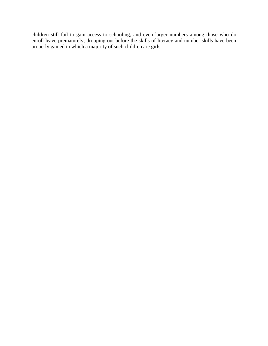children still fail to gain access to schooling, and even larger numbers among those who do enroll leave prematurely, dropping out before the skills of literacy and number skills have been properly gained in which a majority of such children are girls.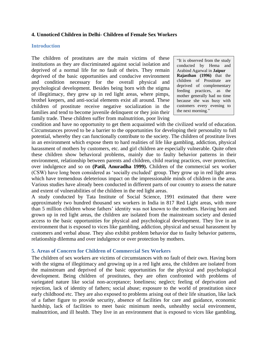## <span id="page-9-0"></span>**4. Unnoticed Children in Delhi- Children of Female Sex Workers**

#### <span id="page-9-1"></span>**Introduction**

The children of prostitutes are the main victims of these institutions as they are discriminated against social isolation and deprived of a normal life for no fault of theirs. They remain deprived of the basic opportunities and conducive environment and condition necessary for the overall physical and psychological development. Besides being born with the stigma of illegitimacy, they grew up in red light areas, where pimps, brothel keepers, and anti-social elements exist all around. These children of prostitute receive negative socialization in the families and tend to become juvenile delinquent or they join their family trade. These children suffer from malnutrition, poor living

"It is observed from the study conducted by Hema and Arabind Agarwal in **Jaipur Rajasthan (1996)** that the children of Prostitute are deprived of complementary feeding practices, as the mother generally had no time because she was busy with customers every evening to the next morning."

condition and have no opportunity to get them acquainted with the civilized world of education. Circumstances proved to be a barrier to the opportunities for developing their personality to full potential, whereby they can functionally contribute to the society. The children of prostitute lives in an environment which expose them to hard realities of life like gambling, addiction, physical harassment of mothers by customers, etc. and girl children are especially vulnerable. Quite often these children show behavioral problems, mainly due to faulty behavior patterns in their environment, relationship between parents and children, child rearing practices, over protection, over indulgence and so on **(Patil, Anuradha 1999).** Children of the commercial sex worker (CSW) have long been considered as "socially excluded" group. They grow up in red light areas which have tremendous deleterious impact on the impressionable minds of children in the area. Various studies have already been conducted in different parts of our country to assess the nature and extent of vulnerabilities of the children in the red light areas.

A study conducted by Tata Institute of Social Science, 1991 estimated that there were approximately two hundred thousand sex workers in India in 817 Red Light areas, with more than 5 million children whose fathers" identity was not known to the mothers. Having born and grown up in red light areas, the children are isolated from the mainstream society and denied access to the basic opportunities for physical and psychological development. They live in an environment that is exposed to vices like gambling, addiction, physical and sexual harassment by customers and verbal abuse. They also exhibit problem behavior due to faulty behavior patterns, relationship dilemma and over indulgence or over protection by mothers.

### <span id="page-9-2"></span>**5. Areas of Concern for Children of Commercial Sex Workers**

The children of sex workers are victims of circumstances with no fault of their own. Having born with the stigma of illegitimacy and growing up in a red light area, the children are isolated from the mainstream and deprived of the basic opportunities for the physical and psychological development. Being children of prostitutes, they are often confronted with problems of variegated nature like social non-acceptance; loneliness; neglect; feeling of deprivation and rejection, lack of identity of fathers; social abuse; exposure to the world of prostitution since early childhood etc. They are also exposed to problems arising out of their life situation, like lack of a father figure to provide security, absence of facilities for care and guidance, economic hardship, lack of facilities to meet basic minimum needs, unhealthy social environment, malnutrition, and ill health. They live in an environment that is exposed to vices like gambling,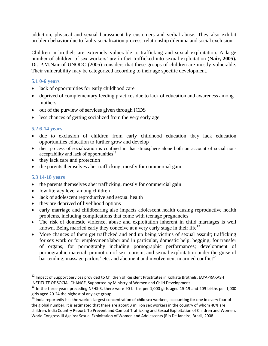addiction, physical and sexual harassment by customers and verbal abuse. They also exhibit problem behavior due to faulty socialization process, relationship dilemma and social exclusion.

Children in brothels are extremely vulnerable to trafficking and sexual exploitation. A large number of children of sex workers" are in fact trafficked into sexual exploitation (**Nair, 2005).** Dr. P.M.Nair of UNODC (2005) considers that these groups of children are mostly vulnerable. Their vulnerability may be categorized according to their age specific development.

## <span id="page-10-0"></span>**5.1 0-6 years**

- lack of opportunities for early childhood care
- deprived of complementary feeding practices due to lack of education and awareness among mothers
- $\bullet$  out of the purview of services given through ICDS
- less chances of getting socialized from the very early age

## <span id="page-10-1"></span>**5.2 6-14 years**

- due to exclusion of children from early childhood education they lack education opportunities education to further grow and develop
- their process of socialization is confined in that atmosphere alone both on account of social nonacceptability and lack of opportunities<sup>12</sup>
- they lack care and protection
- the parents themselves abet trafficking, mostly for commercial gain

### <span id="page-10-2"></span>**5.3 14-18 years**

- the parents themselves abet trafficking, mostly for commercial gain
- low literacy level among children
- lack of adolescent reproductive and sexual health
- they are deprived of livelihood options
- early marriage and childbearing also impacts adolescent health causing reproductive health problems, including complications that come with teenage pregnancies
- The risk of domestic violence, abuse and exploitation inherent in child marriages is well known. Being married early they conceive at a very early stage in their life<sup>13</sup>
- More chances of them get trafficked and end up being victims of sexual assault; trafficking for sex work or for employment/labor and in particular, domestic help; begging; for transfer of organs; for pornography including pornographic performances; development of pornographic material, promotion of sex tourism, and sexual exploitation under the guise of bar tending, massage parlors' etc. and abetment and involvement in armed conflict<sup>14</sup>

 $^{12}$  Impact of Support Services provided to Children of Resident Prostitutes in Kolkata Brothels, JAYAPRAKASH INSTITUTE OF SOCIAL CHANGE, Supported by Ministry of Women and Child Development

<sup>&</sup>lt;sup>13</sup> In the three years preceding NFHS-3, there were 90 births per 1,000 girls aged 15-19 and 209 births per 1,000 girls aged 20-24 the highest of any age group

 $14$  India reportedly has the world's largest concentration of child sex workers, accounting for one in every four of the global number. It is estimated that there are about 3 million sex workers in the country of whom 40% are children. India Country Report: To Prevent and Combat Trafficking and Sexual Exploitation of Children and Women, World Congress III Against Sexual Exploitation of Women and Adolescents (Rio De Janeiro, Brazil, 2008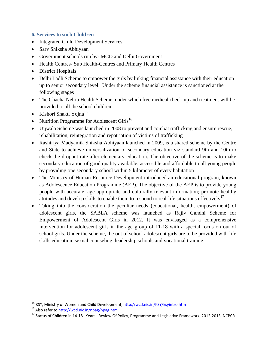# <span id="page-11-0"></span>**6. Services to such Children**

- Integrated Child Development Services
- Sarv Shiksha Abhiyaan
- Government schools run by- MCD and Delhi Government
- Health Centres- Sub Health-Centres and Primary Health Centres
- District Hospitals
- Delhi Ladli Scheme to empower the girls by linking financial assistance with their education up to senior secondary level. Under the scheme financial assistance is sanctioned at the following stages
- The Chacha Nehru Health Scheme, under which free medical check-up and treatment will be provided to all the school children
- Kishori Shakti Yojna<sup>15</sup>
- Nutrition Programme for Adolescent Girls<sup>16</sup>
- Ujjwala Scheme was launched in 2008 to prevent and combat trafficking and ensure rescue, rehabilitation, reintegration and repatriation of victims of trafficking
- Rashtriya Madyamik Shiksha Abhiyaan launched in 2009, is a shared scheme by the Centre and State to achieve universalization of secondary education viz standard 9th and 10th to check the dropout rate after elementary education. The objective of the scheme is to make secondary education of good quality available, accessible and affordable to all young people by providing one secondary school within 5 kilometer of every habitation
- The Ministry of Human Resource Development introduced an educational program, known as Adolescence Education Programme (AEP). The objective of the AEP is to provide young people with accurate, age appropriate and culturally relevant information; promote healthy attitudes and develop skills to enable them to respond to real-life situations effectively<sup>17</sup>
- Taking into the consideration the peculiar needs (educational, health, empowerment) of adolescent girls, the SABLA scheme was launched as Rajiv Gandhi Scheme for Empowerment of Adolescent Girls in 2012. It was envisaged as a comprehensive intervention for adolescent girls in the age group of 11-18 with a special focus on out of school girls. Under the scheme, the out of school adolescent girls are to be provided with life skills education, sexual counseling, leadership schools and vocational training

l

<sup>&</sup>lt;sup>15</sup> KSY, Ministry of Women and Child Development, http://wcd.nic.in/KSY/ksyintro.htm

<sup>16</sup> Also refer to http://wcd.nic.in/npag/npag.htm

<sup>&</sup>lt;sup>17</sup> Status of Children in 14-18 Years: Review Of Policy, Programme and Legislative Framework, 2012-2013, NCPCR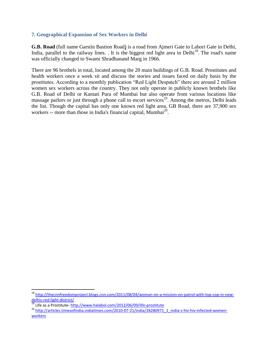## <span id="page-12-0"></span>**7. Geographical Expansion of Sex Workers in Delhi**

**G.B. Road** (full name Garstin [Bastion](http://en.wikipedia.org/wiki/Bastion) Road) is a road from Ajmeri Gate to Lahori Gate in Delhi, India, parallel to the railway lines. . It is the biggest red light area in Delhi<sup>18</sup>. The road's name was officially changed to [Swami Shradhanand Marg](http://en.wikipedia.org/wiki/Swami_Shraddhanand) in 1966.

There are 96 brothels in total, located among the 20 main buildings of G.B. Road. Prostitutes and health workers once a week sit and discuss the stories and issues faced on daily basis by the prostitutes. According to a monthly publication "Red Light Despatch" there are around 2 million women sex workers across the country. They not only operate in publicly known brothels like G.B. Road of Delhi or Kamati Pura of Mumbai but also operate from various locations like massage parlors or just through a phone call to escort services<sup>19</sup>. Among the metros, Delhi leads the list. Though the capital has only one known red light area, GB Road, there are 37,900 sex workers -- more than those in India's financial capital, Mumbai $^{20}$ .

<sup>18</sup> [http://thecnnfreedomproject.blogs.cnn.com/2011/08/04/woman-on-a-mission-on-patrol-with-top-cop-in-new](http://thecnnfreedomproject.blogs.cnn.com/2011/08/04/woman-on-a-mission-on-patrol-with-top-cop-in-new-delhis-red-light-district/)[delhis-red-light-district/](http://thecnnfreedomproject.blogs.cnn.com/2011/08/04/woman-on-a-mission-on-patrol-with-top-cop-in-new-delhis-red-light-district/)

<sup>&</sup>lt;sup>19</sup> Life as a Prostitute- <http://www.halabol.com/2012/06/09/life-prostitute>

<sup>&</sup>lt;sup>20</sup> [http://articles.timesofindia.indiatimes.com/2010-07-21/india/28280971\\_1\\_india-s-hiv-hiv-infected-women](http://articles.timesofindia.indiatimes.com/2010-07-21/india/28280971_1_india-s-hiv-hiv-infected-women-workers)[workers](http://articles.timesofindia.indiatimes.com/2010-07-21/india/28280971_1_india-s-hiv-hiv-infected-women-workers)